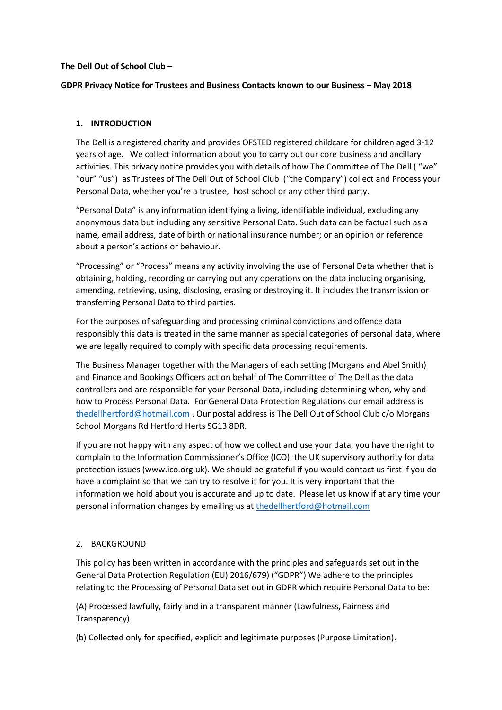**The Dell Out of School Club –**

## **GDPR Privacy Notice for Trustees and Business Contacts known to our Business – May 2018**

# **1. INTRODUCTION**

The Dell is a registered charity and provides OFSTED registered childcare for children aged 3-12 years of age. We collect information about you to carry out our core business and ancillary activities. This privacy notice provides you with details of how The Committee of The Dell ( "we" "our" "us") as Trustees of The Dell Out of School Club ("the Company") collect and Process your Personal Data, whether you're a trustee, host school or any other third party.

"Personal Data" is any information identifying a living, identifiable individual, excluding any anonymous data but including any sensitive Personal Data. Such data can be factual such as a name, email address, date of birth or national insurance number; or an opinion or reference about a person's actions or behaviour.

"Processing" or "Process" means any activity involving the use of Personal Data whether that is obtaining, holding, recording or carrying out any operations on the data including organising, amending, retrieving, using, disclosing, erasing or destroying it. It includes the transmission or transferring Personal Data to third parties.

For the purposes of safeguarding and processing criminal convictions and offence data responsibly this data is treated in the same manner as special categories of personal data, where we are legally required to comply with specific data processing requirements.

The Business Manager together with the Managers of each setting (Morgans and Abel Smith) and Finance and Bookings Officers act on behalf of The Committee of The Dell as the data controllers and are responsible for your Personal Data, including determining when, why and how to Process Personal Data. For General Data Protection Regulations our email address is [thedellhertford@hotmail.com](mailto:thedellhertford@hotmail.com) . Our postal address is The Dell Out of School Club c/o Morgans School Morgans Rd Hertford Herts SG13 8DR.

If you are not happy with any aspect of how we collect and use your data, you have the right to complain to the Information Commissioner's Office (ICO), the UK supervisory authority for data protection issues (www.ico.org.uk). We should be grateful if you would contact us first if you do have a complaint so that we can try to resolve it for you. It is very important that the information we hold about you is accurate and up to date. Please let us know if at any time your personal information changes by emailing us a[t thedellhertford@hotmail.com](mailto:thedellhertford@hotmail.com)

## 2. BACKGROUND

This policy has been written in accordance with the principles and safeguards set out in the General Data Protection Regulation (EU) 2016/679) ("GDPR") We adhere to the principles relating to the Processing of Personal Data set out in GDPR which require Personal Data to be:

(A) Processed lawfully, fairly and in a transparent manner (Lawfulness, Fairness and Transparency).

(b) Collected only for specified, explicit and legitimate purposes (Purpose Limitation).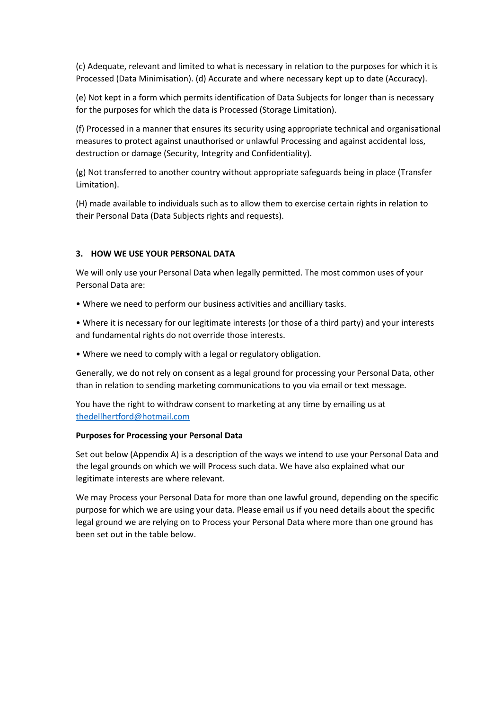(c) Adequate, relevant and limited to what is necessary in relation to the purposes for which it is Processed (Data Minimisation). (d) Accurate and where necessary kept up to date (Accuracy).

(e) Not kept in a form which permits identification of Data Subjects for longer than is necessary for the purposes for which the data is Processed (Storage Limitation).

(f) Processed in a manner that ensures its security using appropriate technical and organisational measures to protect against unauthorised or unlawful Processing and against accidental loss, destruction or damage (Security, Integrity and Confidentiality).

(g) Not transferred to another country without appropriate safeguards being in place (Transfer Limitation).

(H) made available to individuals such as to allow them to exercise certain rights in relation to their Personal Data (Data Subjects rights and requests).

### **3. HOW WE USE YOUR PERSONAL DATA**

We will only use your Personal Data when legally permitted. The most common uses of your Personal Data are:

• Where we need to perform our business activities and ancilliary tasks.

• Where it is necessary for our legitimate interests (or those of a third party) and your interests and fundamental rights do not override those interests.

• Where we need to comply with a legal or regulatory obligation.

Generally, we do not rely on consent as a legal ground for processing your Personal Data, other than in relation to sending marketing communications to you via email or text message.

You have the right to withdraw consent to marketing at any time by emailing us at [thedellhertford@hotmail.com](mailto:thedellhertford@hotmail.com)

#### **Purposes for Processing your Personal Data**

Set out below (Appendix A) is a description of the ways we intend to use your Personal Data and the legal grounds on which we will Process such data. We have also explained what our legitimate interests are where relevant.

We may Process your Personal Data for more than one lawful ground, depending on the specific purpose for which we are using your data. Please email us if you need details about the specific legal ground we are relying on to Process your Personal Data where more than one ground has been set out in the table below.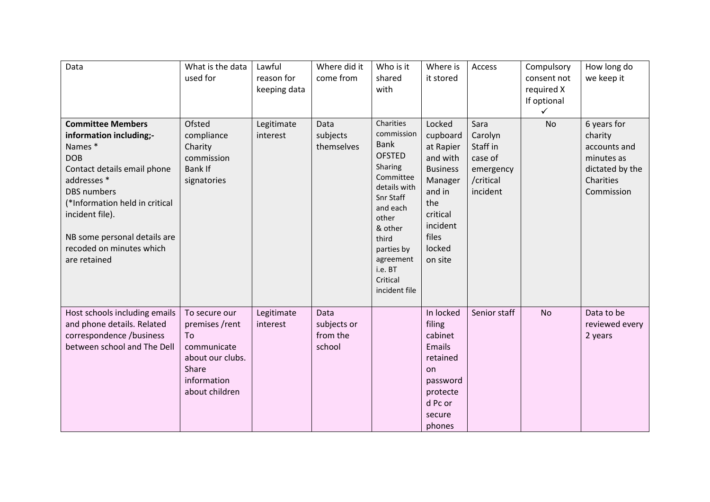| Data                                                                                                                                                                                                                                                                             | What is the data<br>used for                                                                                       | Lawful<br>reason for<br>keeping data | Where did it<br>come from                 | Who is it<br>shared<br>with                                                                                                                                                                                              | Where is<br>it stored                                                                                                                            | Access                                                                       | Compulsory<br>consent not<br>required X<br>If optional<br>✓ | How long do<br>we keep it                                                                          |
|----------------------------------------------------------------------------------------------------------------------------------------------------------------------------------------------------------------------------------------------------------------------------------|--------------------------------------------------------------------------------------------------------------------|--------------------------------------|-------------------------------------------|--------------------------------------------------------------------------------------------------------------------------------------------------------------------------------------------------------------------------|--------------------------------------------------------------------------------------------------------------------------------------------------|------------------------------------------------------------------------------|-------------------------------------------------------------|----------------------------------------------------------------------------------------------------|
| <b>Committee Members</b><br>information including;-<br>Names*<br><b>DOB</b><br>Contact details email phone<br>addresses *<br><b>DBS</b> numbers<br>(*Information held in critical<br>incident file).<br>NB some personal details are<br>recoded on minutes which<br>are retained | Ofsted<br>compliance<br>Charity<br>commission<br><b>Bank If</b><br>signatories                                     | Legitimate<br>interest               | Data<br>subjects<br>themselves            | Charities<br>commission<br><b>Bank</b><br><b>OFSTED</b><br>Sharing<br>Committee<br>details with<br>Snr Staff<br>and each<br>other<br>& other<br>third<br>parties by<br>agreement<br>i.e. BT<br>Critical<br>incident file | Locked<br>cupboard<br>at Rapier<br>and with<br><b>Business</b><br>Manager<br>and in<br>the<br>critical<br>incident<br>files<br>locked<br>on site | Sara<br>Carolyn<br>Staff in<br>case of<br>emergency<br>/critical<br>incident | <b>No</b>                                                   | 6 years for<br>charity<br>accounts and<br>minutes as<br>dictated by the<br>Charities<br>Commission |
| Host schools including emails<br>and phone details. Related<br>correspondence /business<br>between school and The Dell                                                                                                                                                           | To secure our<br>premises /rent<br>To<br>communicate<br>about our clubs.<br>Share<br>information<br>about children | Legitimate<br>interest               | Data<br>subjects or<br>from the<br>school |                                                                                                                                                                                                                          | In locked<br>filing<br>cabinet<br>Emails<br>retained<br>on<br>password<br>protecte<br>d Pc or<br>secure<br>phones                                | Senior staff                                                                 | <b>No</b>                                                   | Data to be<br>reviewed every<br>2 years                                                            |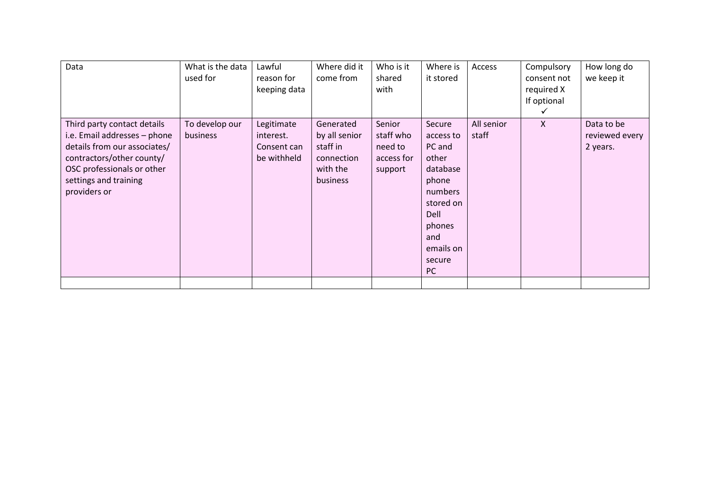| Data                                                                                                                                                                                            | What is the data<br>used for | Lawful<br>reason for<br>keeping data                  | Where did it<br>come from                                                    | Who is it<br>shared<br>with                             | Where is<br>it stored                                                                                                                     | Access              | Compulsory<br>consent not<br>required X<br>If optional | How long do<br>we keep it                |
|-------------------------------------------------------------------------------------------------------------------------------------------------------------------------------------------------|------------------------------|-------------------------------------------------------|------------------------------------------------------------------------------|---------------------------------------------------------|-------------------------------------------------------------------------------------------------------------------------------------------|---------------------|--------------------------------------------------------|------------------------------------------|
| Third party contact details<br>i.e. Email addresses - phone<br>details from our associates/<br>contractors/other county/<br>OSC professionals or other<br>settings and training<br>providers or | To develop our<br>business   | Legitimate<br>interest.<br>Consent can<br>be withheld | Generated<br>by all senior<br>staff in<br>connection<br>with the<br>business | Senior<br>staff who<br>need to<br>access for<br>support | Secure<br>access to<br>PC and<br>other<br>database<br>phone<br>numbers<br>stored on<br>Dell<br>phones<br>and<br>emails on<br>secure<br>PC | All senior<br>staff | Χ                                                      | Data to be<br>reviewed every<br>2 years. |
|                                                                                                                                                                                                 |                              |                                                       |                                                                              |                                                         |                                                                                                                                           |                     |                                                        |                                          |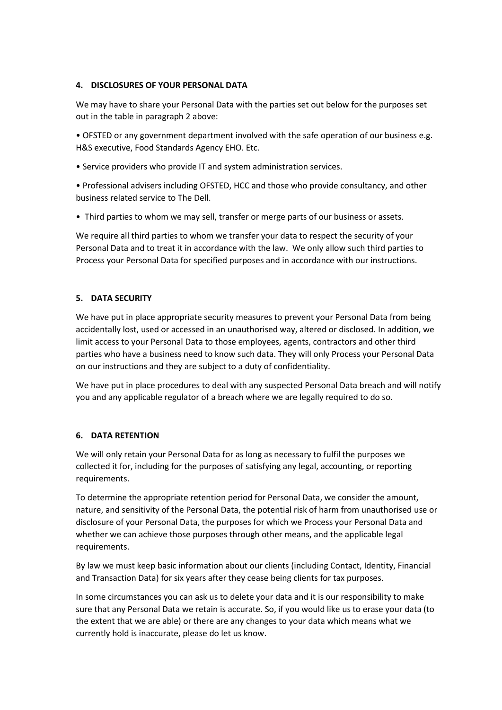## **4. DISCLOSURES OF YOUR PERSONAL DATA**

We may have to share your Personal Data with the parties set out below for the purposes set out in the table in paragraph 2 above:

• OFSTED or any government department involved with the safe operation of our business e.g. H&S executive, Food Standards Agency EHO. Etc.

• Service providers who provide IT and system administration services.

• Professional advisers including OFSTED, HCC and those who provide consultancy, and other business related service to The Dell.

• Third parties to whom we may sell, transfer or merge parts of our business or assets.

We require all third parties to whom we transfer your data to respect the security of your Personal Data and to treat it in accordance with the law. We only allow such third parties to Process your Personal Data for specified purposes and in accordance with our instructions.

## **5. DATA SECURITY**

We have put in place appropriate security measures to prevent your Personal Data from being accidentally lost, used or accessed in an unauthorised way, altered or disclosed. In addition, we limit access to your Personal Data to those employees, agents, contractors and other third parties who have a business need to know such data. They will only Process your Personal Data on our instructions and they are subject to a duty of confidentiality.

We have put in place procedures to deal with any suspected Personal Data breach and will notify you and any applicable regulator of a breach where we are legally required to do so.

## **6. DATA RETENTION**

We will only retain your Personal Data for as long as necessary to fulfil the purposes we collected it for, including for the purposes of satisfying any legal, accounting, or reporting requirements.

To determine the appropriate retention period for Personal Data, we consider the amount, nature, and sensitivity of the Personal Data, the potential risk of harm from unauthorised use or disclosure of your Personal Data, the purposes for which we Process your Personal Data and whether we can achieve those purposes through other means, and the applicable legal requirements.

By law we must keep basic information about our clients (including Contact, Identity, Financial and Transaction Data) for six years after they cease being clients for tax purposes.

In some circumstances you can ask us to delete your data and it is our responsibility to make sure that any Personal Data we retain is accurate. So, if you would like us to erase your data (to the extent that we are able) or there are any changes to your data which means what we currently hold is inaccurate, please do let us know.